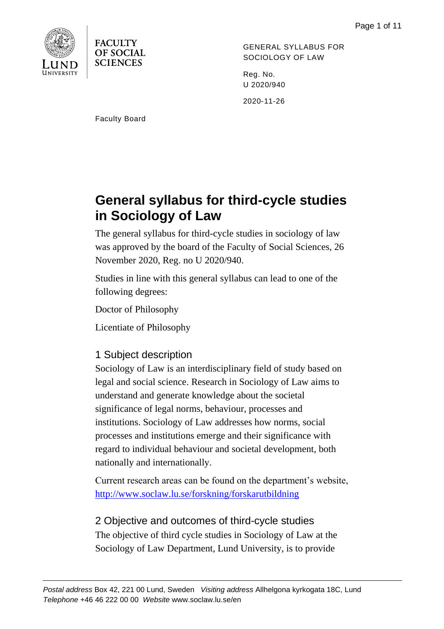

**FACULTY OF SOCIAL SCIENCES** 

GENERAL SYLLABUS FOR SOCIOLOGY OF LAW

Reg. No. U 2020/940

2020-11-26

Faculty Board

# **General syllabus for third-cycle studies in Sociology of Law**

The general syllabus for third-cycle studies in sociology of law was approved by the board of the Faculty of Social Sciences, 26 November 2020, Reg. no U 2020/940.

Studies in line with this general syllabus can lead to one of the following degrees:

Doctor of Philosophy

Licentiate of Philosophy

# 1 Subject description

Sociology of Law is an interdisciplinary field of study based on legal and social science. Research in Sociology of Law aims to understand and generate knowledge about the societal significance of legal norms, behaviour, processes and institutions. Sociology of Law addresses how norms, social processes and institutions emerge and their significance with regard to individual behaviour and societal development, both nationally and internationally.

Current research areas can be found on the department's website, <http://www.soclaw.lu.se/forskning/forskarutbildning>

# 2 Objective and outcomes of third-cycle studies

The objective of third cycle studies in Sociology of Law at the Sociology of Law Department, Lund University, is to provide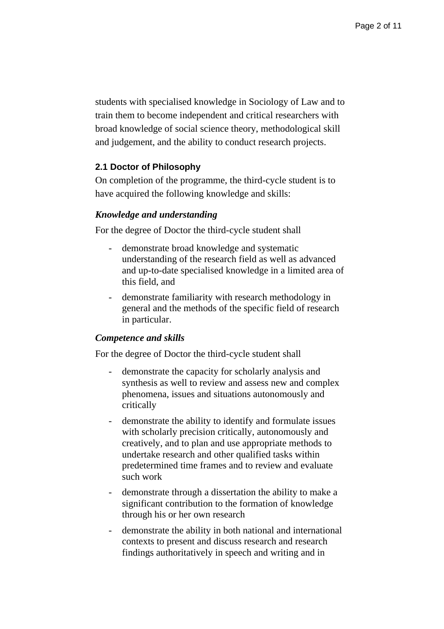students with specialised knowledge in Sociology of Law and to train them to become independent and critical researchers with broad knowledge of social science theory, methodological skill and judgement, and the ability to conduct research projects.

#### **2.1 Doctor of Philosophy**

On completion of the programme, the third-cycle student is to have acquired the following knowledge and skills:

#### *Knowledge and understanding*

For the degree of Doctor the third-cycle student shall

- demonstrate broad knowledge and systematic understanding of the research field as well as advanced and up-to-date specialised knowledge in a limited area of this field, and
- demonstrate familiarity with research methodology in general and the methods of the specific field of research in particular.

#### *Competence and skills*

For the degree of Doctor the third-cycle student shall

- demonstrate the capacity for scholarly analysis and synthesis as well to review and assess new and complex phenomena, issues and situations autonomously and critically
- demonstrate the ability to identify and formulate issues with scholarly precision critically, autonomously and creatively, and to plan and use appropriate methods to undertake research and other qualified tasks within predetermined time frames and to review and evaluate such work
- demonstrate through a dissertation the ability to make a significant contribution to the formation of knowledge through his or her own research
- demonstrate the ability in both national and international contexts to present and discuss research and research findings authoritatively in speech and writing and in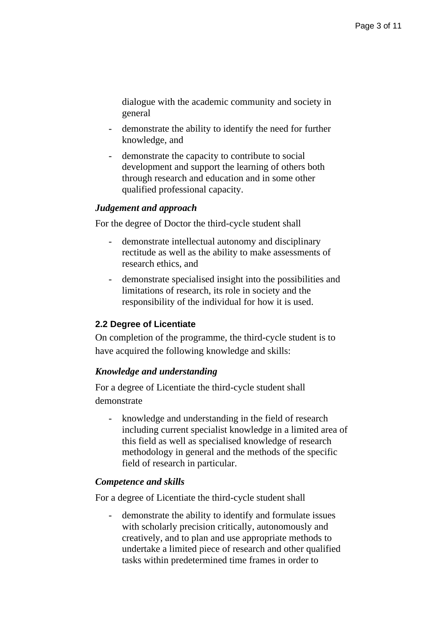dialogue with the academic community and society in general

- demonstrate the ability to identify the need for further knowledge, and
- demonstrate the capacity to contribute to social development and support the learning of others both through research and education and in some other qualified professional capacity.

# *Judgement and approach*

For the degree of Doctor the third-cycle student shall

- demonstrate intellectual autonomy and disciplinary rectitude as well as the ability to make assessments of research ethics, and
- demonstrate specialised insight into the possibilities and limitations of research, its role in society and the responsibility of the individual for how it is used.

# **2.2 Degree of Licentiate**

On completion of the programme, the third-cycle student is to have acquired the following knowledge and skills:

# *Knowledge and understanding*

For a degree of Licentiate the third-cycle student shall demonstrate

- knowledge and understanding in the field of research including current specialist knowledge in a limited area of this field as well as specialised knowledge of research methodology in general and the methods of the specific field of research in particular.

#### *Competence and skills*

For a degree of Licentiate the third-cycle student shall

- demonstrate the ability to identify and formulate issues with scholarly precision critically, autonomously and creatively, and to plan and use appropriate methods to undertake a limited piece of research and other qualified tasks within predetermined time frames in order to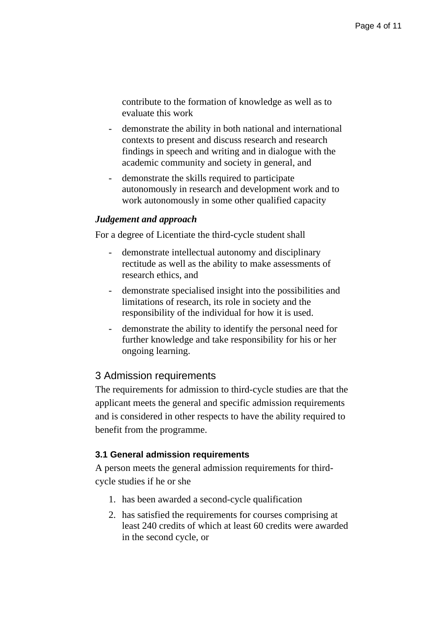contribute to the formation of knowledge as well as to evaluate this work

- demonstrate the ability in both national and international contexts to present and discuss research and research findings in speech and writing and in dialogue with the academic community and society in general, and
- demonstrate the skills required to participate autonomously in research and development work and to work autonomously in some other qualified capacity

# *Judgement and approach*

For a degree of Licentiate the third-cycle student shall

- demonstrate intellectual autonomy and disciplinary rectitude as well as the ability to make assessments of research ethics, and
- demonstrate specialised insight into the possibilities and limitations of research, its role in society and the responsibility of the individual for how it is used.
- demonstrate the ability to identify the personal need for further knowledge and take responsibility for his or her ongoing learning.

# 3 Admission requirements

The requirements for admission to third-cycle studies are that the applicant meets the general and specific admission requirements and is considered in other respects to have the ability required to benefit from the programme.

# **3.1 General admission requirements**

A person meets the general admission requirements for thirdcycle studies if he or she

- 1. has been awarded a second-cycle qualification
- 2. has satisfied the requirements for courses comprising at least 240 credits of which at least 60 credits were awarded in the second cycle, or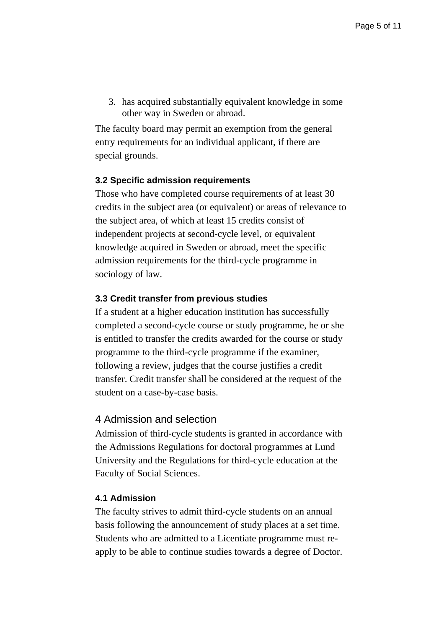3. has acquired substantially equivalent knowledge in some other way in Sweden or abroad.

The faculty board may permit an exemption from the general entry requirements for an individual applicant, if there are special grounds.

#### **3.2 Specific admission requirements**

Those who have completed course requirements of at least 30 credits in the subject area (or equivalent) or areas of relevance to the subject area, of which at least 15 credits consist of independent projects at second-cycle level, or equivalent knowledge acquired in Sweden or abroad, meet the specific admission requirements for the third-cycle programme in sociology of law.

# **3.3 Credit transfer from previous studies**

If a student at a higher education institution has successfully completed a second-cycle course or study programme, he or she is entitled to transfer the credits awarded for the course or study programme to the third-cycle programme if the examiner, following a review, judges that the course justifies a credit transfer. Credit transfer shall be considered at the request of the student on a case-by-case basis.

#### 4 Admission and selection

Admission of third-cycle students is granted in accordance with the Admissions Regulations for doctoral programmes at Lund University and the Regulations for third-cycle education at the Faculty of Social Sciences.

#### **4.1 Admission**

The faculty strives to admit third-cycle students on an annual basis following the announcement of study places at a set time. Students who are admitted to a Licentiate programme must reapply to be able to continue studies towards a degree of Doctor.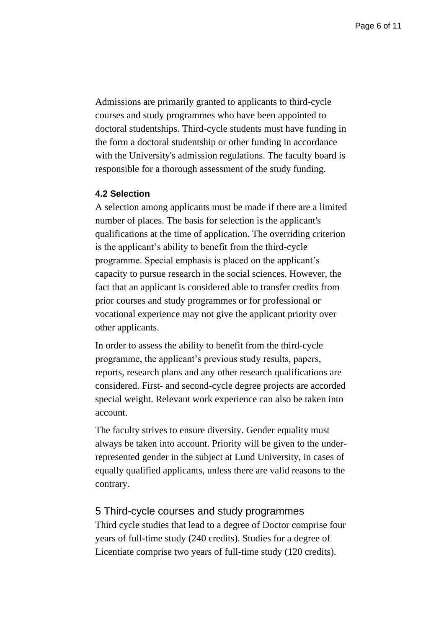Admissions are primarily granted to applicants to third-cycle courses and study programmes who have been appointed to doctoral studentships. Third-cycle students must have funding in the form a doctoral studentship or other funding in accordance with the University's admission regulations. The faculty board is responsible for a thorough assessment of the study funding.

# **4.2 Selection**

A selection among applicants must be made if there are a limited number of places. The basis for selection is the applicant's qualifications at the time of application. The overriding criterion is the applicant's ability to benefit from the third-cycle programme. Special emphasis is placed on the applicant's capacity to pursue research in the social sciences. However, the fact that an applicant is considered able to transfer credits from prior courses and study programmes or for professional or vocational experience may not give the applicant priority over other applicants.

In order to assess the ability to benefit from the third-cycle programme, the applicant's previous study results, papers, reports, research plans and any other research qualifications are considered. First- and second-cycle degree projects are accorded special weight. Relevant work experience can also be taken into account.

The faculty strives to ensure diversity. Gender equality must always be taken into account. Priority will be given to the underrepresented gender in the subject at Lund University, in cases of equally qualified applicants, unless there are valid reasons to the contrary.

#### 5 Third-cycle courses and study programmes

Third cycle studies that lead to a degree of Doctor comprise four years of full-time study (240 credits). Studies for a degree of Licentiate comprise two years of full-time study (120 credits).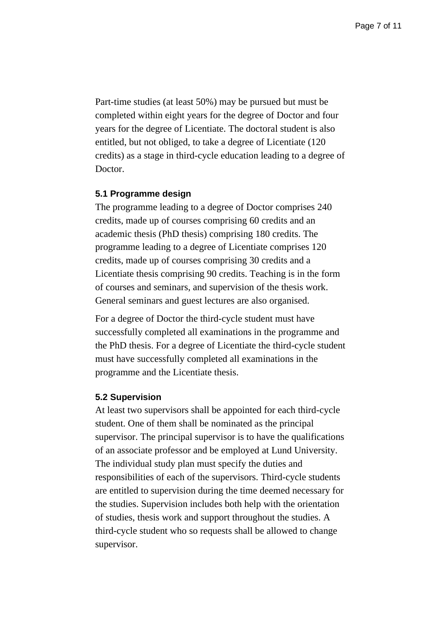Part-time studies (at least 50%) may be pursued but must be completed within eight years for the degree of Doctor and four years for the degree of Licentiate. The doctoral student is also entitled, but not obliged, to take a degree of Licentiate (120 credits) as a stage in third-cycle education leading to a degree of Doctor.

#### **5.1 Programme design**

The programme leading to a degree of Doctor comprises 240 credits, made up of courses comprising 60 credits and an academic thesis (PhD thesis) comprising 180 credits. The programme leading to a degree of Licentiate comprises 120 credits, made up of courses comprising 30 credits and a Licentiate thesis comprising 90 credits. Teaching is in the form of courses and seminars, and supervision of the thesis work. General seminars and guest lectures are also organised.

For a degree of Doctor the third-cycle student must have successfully completed all examinations in the programme and the PhD thesis. For a degree of Licentiate the third-cycle student must have successfully completed all examinations in the programme and the Licentiate thesis.

#### **5.2 Supervision**

At least two supervisors shall be appointed for each third-cycle student. One of them shall be nominated as the principal supervisor. The principal supervisor is to have the qualifications of an associate professor and be employed at Lund University. The individual study plan must specify the duties and responsibilities of each of the supervisors. Third-cycle students are entitled to supervision during the time deemed necessary for the studies. Supervision includes both help with the orientation of studies, thesis work and support throughout the studies. A third-cycle student who so requests shall be allowed to change supervisor.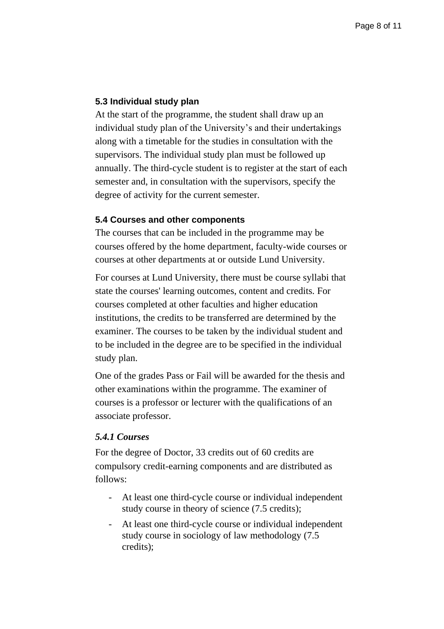# **5.3 Individual study plan**

At the start of the programme, the student shall draw up an individual study plan of the University's and their undertakings along with a timetable for the studies in consultation with the supervisors. The individual study plan must be followed up annually. The third-cycle student is to register at the start of each semester and, in consultation with the supervisors, specify the degree of activity for the current semester.

#### **5.4 Courses and other components**

The courses that can be included in the programme may be courses offered by the home department, faculty-wide courses or courses at other departments at or outside Lund University.

For courses at Lund University, there must be course syllabi that state the courses' learning outcomes, content and credits. For courses completed at other faculties and higher education institutions, the credits to be transferred are determined by the examiner. The courses to be taken by the individual student and to be included in the degree are to be specified in the individual study plan.

One of the grades Pass or Fail will be awarded for the thesis and other examinations within the programme. The examiner of courses is a professor or lecturer with the qualifications of an associate professor.

# *5.4.1 Courses*

For the degree of Doctor, 33 credits out of 60 credits are compulsory credit-earning components and are distributed as follows:

- At least one third-cycle course or individual independent study course in theory of science (7.5 credits);
- At least one third-cycle course or individual independent study course in sociology of law methodology (7.5 credits);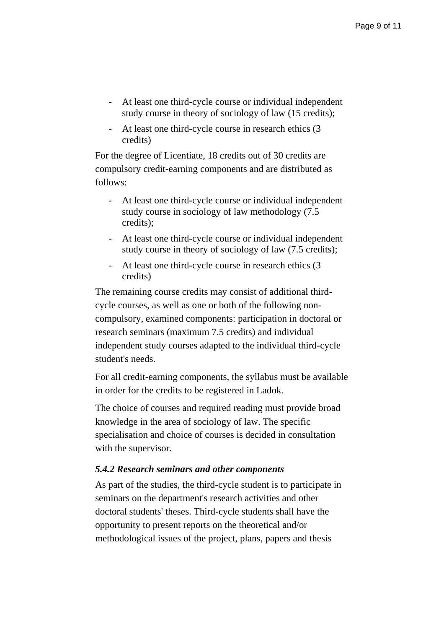- At least one third-cycle course or individual independent study course in theory of sociology of law (15 credits);
- At least one third-cycle course in research ethics (3 credits)

For the degree of Licentiate, 18 credits out of 30 credits are compulsory credit-earning components and are distributed as follows:

- At least one third-cycle course or individual independent study course in sociology of law methodology (7.5 credits);
- At least one third-cycle course or individual independent study course in theory of sociology of law (7.5 credits);
- At least one third-cycle course in research ethics (3 credits)

The remaining course credits may consist of additional thirdcycle courses, as well as one or both of the following noncompulsory, examined components: participation in doctoral or research seminars (maximum 7.5 credits) and individual independent study courses adapted to the individual third-cycle student's needs.

For all credit-earning components, the syllabus must be available in order for the credits to be registered in Ladok.

The choice of courses and required reading must provide broad knowledge in the area of sociology of law. The specific specialisation and choice of courses is decided in consultation with the supervisor.

# *5.4.2 Research seminars and other components*

As part of the studies, the third-cycle student is to participate in seminars on the department's research activities and other doctoral students' theses. Third-cycle students shall have the opportunity to present reports on the theoretical and/or methodological issues of the project, plans, papers and thesis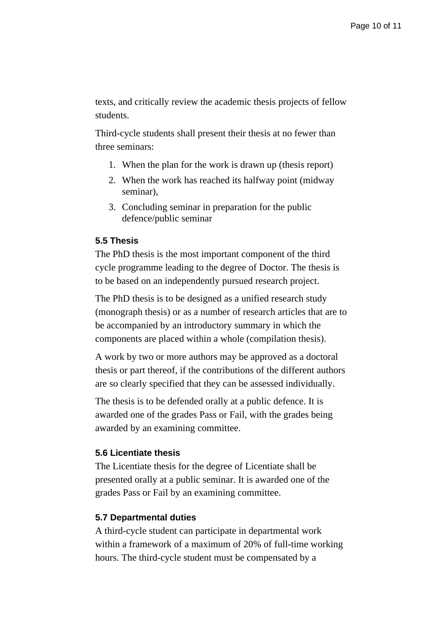texts, and critically review the academic thesis projects of fellow students.

Third-cycle students shall present their thesis at no fewer than three seminars:

- 1. When the plan for the work is drawn up (thesis report)
- 2. When the work has reached its halfway point (midway seminar),
- 3. Concluding seminar in preparation for the public defence/public seminar

# **5.5 Thesis**

The PhD thesis is the most important component of the third cycle programme leading to the degree of Doctor. The thesis is to be based on an independently pursued research project.

The PhD thesis is to be designed as a unified research study (monograph thesis) or as a number of research articles that are to be accompanied by an introductory summary in which the components are placed within a whole (compilation thesis).

A work by two or more authors may be approved as a doctoral thesis or part thereof, if the contributions of the different authors are so clearly specified that they can be assessed individually.

The thesis is to be defended orally at a public defence. It is awarded one of the grades Pass or Fail, with the grades being awarded by an examining committee.

#### **5.6 Licentiate thesis**

The Licentiate thesis for the degree of Licentiate shall be presented orally at a public seminar. It is awarded one of the grades Pass or Fail by an examining committee.

#### **5.7 Departmental duties**

A third-cycle student can participate in departmental work within a framework of a maximum of 20% of full-time working hours. The third-cycle student must be compensated by a